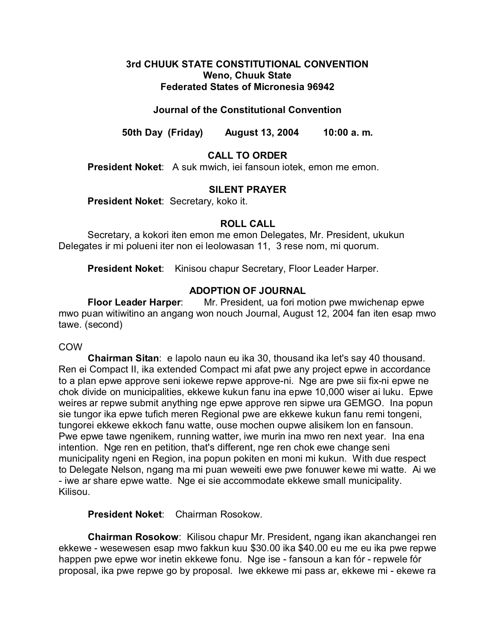### **3rd CHUUK STATE CONSTITUTIONAL CONVENTION Weno, Chuuk State Federated States of Micronesia 96942**

# **Journal of the Constitutional Convention**

**50th Day (Friday) August 13, 2004 10:00 a. m.**

# **CALL TO ORDER**

**President Noket**: A suk mwich, iei fansoun iotek, emon me emon.

### **SILENT PRAYER**

**President Noket**: Secretary, koko it.

### **ROLL CALL**

Secretary, a kokori iten emon me emon Delegates, Mr. President, ukukun Delegates ir mi polueni iter non ei leolowasan 11, 3 rese nom, mi quorum.

President Noket: Kinisou chapur Secretary, Floor Leader Harper.

### **ADOPTION OF JOURNAL**

**Floor Leader Harper**: Mr. President, ua fori motion pwe mwichenap epwe mwo puan witiwitino an angang won nouch Journal, August 12, 2004 fan iten esap mwo tawe. (second)

### COW

**Chairman Sitan**: e lapolo naun eu ika 30, thousand ika let's say 40 thousand. Ren ei Compact II, ika extended Compact mi afat pwe any project epwe in accordance to a plan epwe approve seni iokewe repwe approve-ni. Nge are pwe sii fix-ni epwe ne chok divide on municipalities, ekkewe kukun fanu ina epwe 10,000 wiser ai luku. Epwe weires ar repwe submit anything nge epwe approve ren sipwe ura GEMGO. Ina popun sie tungor ika epwe tufich meren Regional pwe are ekkewe kukun fanu remi tongeni, tungorei ekkewe ekkoch fanu watte, ouse mochen oupwe alisikem lon en fansoun. Pwe epwe tawe ngenikem, running watter, iwe murin ina mwo ren next year. Ina ena intention. Nge ren en petition, that's different, nge ren chok ewe change seni municipality ngeni en Region, ina popun pokiten en moni mi kukun. With due respect to Delegate Nelson, ngang ma mi puan weweiti ewe pwe fonuwer kewe mi watte. Ai we - iwe ar share epwe watte. Nge ei sie accommodate ekkewe small municipality. Kilisou.

**President Noket**: Chairman Rosokow.

**Chairman Rosokow**: Kilisou chapur Mr. President, ngang ikan akanchangei ren ekkewe - wesewesen esap mwo fakkun kuu \$30.00 ika \$40.00 eu me eu ika pwe repwe happen pwe epwe wor inetin ekkewe fonu. Nge ise - fansoun a kan fór - repwele fór proposal, ika pwe repwe go by proposal. Iwe ekkewe mi pass ar, ekkewe mi - ekewe ra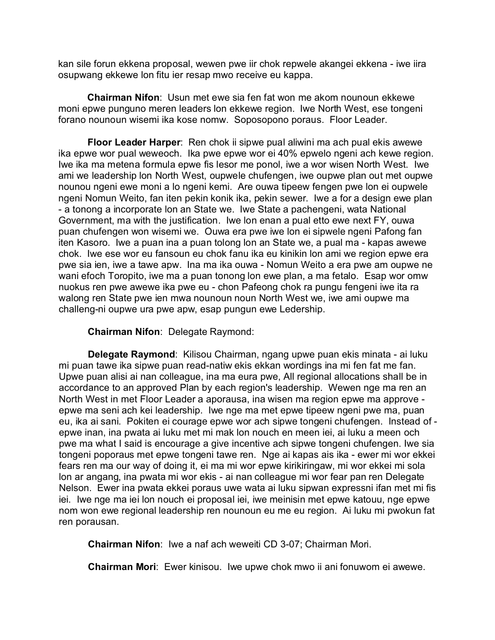kan sile forun ekkena proposal, wewen pwe iir chok repwele akangei ekkena - iwe iira osupwang ekkewe lon fitu ier resap mwo receive eu kappa.

**Chairman Nifon**: Usun met ewe sia fen fat won me akom nounoun ekkewe moni epwe punguno meren leaders lon ekkewe region. Iwe North West, ese tongeni forano nounoun wisemi ika kose nomw. Soposopono poraus. Floor Leader.

**Floor Leader Harper**: Ren chok ii sipwe pual aliwini ma ach pual ekis awewe ika epwe wor pual weweoch. Ika pwe epwe wor ei 40% epwelo ngeni ach kewe region. Iwe ika ma metena formula epwe fis lesor me ponol, iwe a wor wisen North West. Iwe ami we leadership lon North West, oupwele chufengen, iwe oupwe plan out met oupwe nounou ngeni ewe moni a lo ngeni kemi. Are ouwa tipeew fengen pwe lon ei oupwele ngeni Nomun Weito, fan iten pekin konik ika, pekin sewer. Iwe a for a design ewe plan - a tonong a incorporate lon an State we. Iwe State a pachengeni, wata National Government, ma with the justification. Iwe lon enan a pual etto ewe next FY, ouwa puan chufengen won wisemi we. Ouwa era pwe iwe lon ei sipwele ngeni Pafong fan iten Kasoro. Iwe a puan ina a puan tolong lon an State we, a pual ma - kapas awewe chok. Iwe ese wor eu fansoun eu chok fanu ika eu kinikin lon ami we region epwe era pwe sia ien, iwe a tawe apw. Ina ma ika ouwa - Nomun Weito a era pwe am oupwe ne wani efoch Toropito, iwe ma a puan tonong lon ewe plan, a ma fetalo. Esap wor omw nuokus ren pwe awewe ika pwe eu - chon Pafeong chok ra pungu fengeni iwe ita ra walong ren State pwe ien mwa nounoun noun North West we, iwe ami oupwe ma challeng-ni oupwe ura pwe apw, esap pungun ewe Ledership.

**Chairman Nifon**: Delegate Raymond:

**Delegate Raymond**: Kilisou Chairman, ngang upwe puan ekis minata - ai luku mi puan tawe ika sipwe puan read-natiw ekis ekkan wordings ina mi fen fat me fan. Upwe puan alisi ai nan colleague, ina ma eura pwe, All regional allocations shall be in accordance to an approved Plan by each region's leadership. Wewen nge ma ren an North West in met Floor Leader a aporausa, ina wisen ma region epwe ma approve epwe ma seni ach kei leadership. Iwe nge ma met epwe tipeew ngeni pwe ma, puan eu, ika ai sani. Pokiten ei courage epwe wor ach sipwe tongeni chufengen. Instead of epwe inan, ina pwata ai luku met mi mak lon nouch en meen iei, ai luku a meen och pwe ma what I said is encourage a give incentive ach sipwe tongeni chufengen. Iwe sia tongeni poporaus met epwe tongeni tawe ren. Nge ai kapas ais ika - ewer mi wor ekkei fears ren ma our way of doing it, ei ma mi wor epwe kirikiringaw, mi wor ekkei mi sola lon ar angang, ina pwata mi wor ekis - ai nan colleague mi wor fear pan ren Delegate Nelson. Ewer ina pwata ekkei poraus uwe wata ai luku sipwan expressni ifan met mi fis iei. Iwe nge ma iei lon nouch ei proposal iei, iwe meinisin met epwe katouu, nge epwe nom won ewe regional leadership ren nounoun eu me eu region. Ai luku mi pwokun fat ren porausan.

**Chairman Nifon**: Iwe a naf ach weweiti CD 3-07; Chairman Mori.

**Chairman Mori**: Ewer kinisou. Iwe upwe chok mwo ii ani fonuwom ei awewe.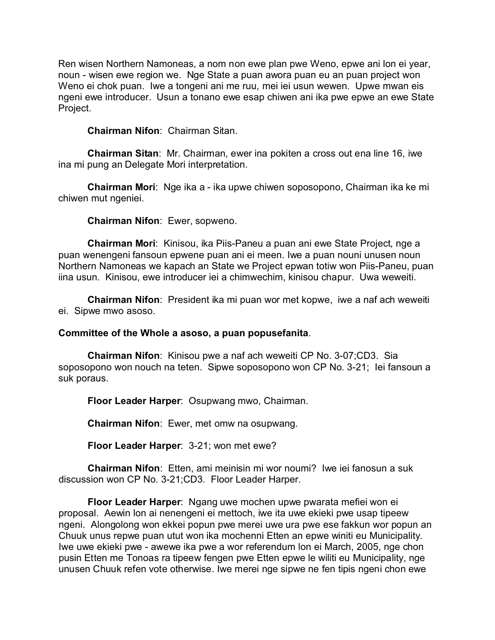Ren wisen Northern Namoneas, a nom non ewe plan pwe Weno, epwe ani lon ei year, noun - wisen ewe region we. Nge State a puan awora puan eu an puan project won Weno ei chok puan. Iwe a tongeni ani me ruu, mei iei usun wewen. Upwe mwan eis ngeni ewe introducer. Usun a tonano ewe esap chiwen ani ika pwe epwe an ewe State Project.

### **Chairman Nifon**: Chairman Sitan.

**Chairman Sitan**: Mr. Chairman, ewer ina pokiten a cross out ena line 16, iwe ina mi pung an Delegate Mori interpretation.

**Chairman Mori**: Nge ika a - ika upwe chiwen soposopono, Chairman ika ke mi chiwen mut ngeniei.

#### **Chairman Nifon**: Ewer, sopweno.

**Chairman Mori**: Kinisou, ika Piis-Paneu a puan ani ewe State Project, nge a puan wenengeni fansoun epwene puan ani ei meen. Iwe a puan nouni unusen noun Northern Namoneas we kapach an State we Project epwan totiw won Piis-Paneu, puan iina usun. Kinisou, ewe introducer iei a chimwechim, kinisou chapur. Uwa weweiti.

**Chairman Nifon**: President ika mi puan wor met kopwe, iwe a naf ach weweiti ei. Sipwe mwo asoso.

#### **Committee of the Whole a asoso, a puan popusefanita**.

**Chairman Nifon**: Kinisou pwe a naf ach weweiti CP No. 3-07;CD3. Sia soposopono won nouch na teten. Sipwe soposopono won CP No. 3-21; Iei fansoun a suk poraus.

**Floor Leader Harper**: Osupwang mwo, Chairman.

**Chairman Nifon**: Ewer, met omw na osupwang.

**Floor Leader Harper**: 3-21; won met ewe?

**Chairman Nifon**: Etten, ami meinisin mi wor noumi? Iwe iei fanosun a suk discussion won CP No. 3-21;CD3. Floor Leader Harper.

**Floor Leader Harper**: Ngang uwe mochen upwe pwarata mefiei won ei proposal. Aewin lon ai nenengeni ei mettoch, iwe ita uwe ekieki pwe usap tipeew ngeni. Alongolong won ekkei popun pwe merei uwe ura pwe ese fakkun wor popun an Chuuk unus repwe puan utut won ika mochenni Etten an epwe winiti eu Municipality. Iwe uwe ekieki pwe - awewe ika pwe a wor referendum lon ei March, 2005, nge chon pusin Etten me Tonoas ra tipeew fengen pwe Etten epwe le wiliti eu Municipality, nge unusen Chuuk refen vote otherwise. Iwe merei nge sipwe ne fen tipis ngeni chon ewe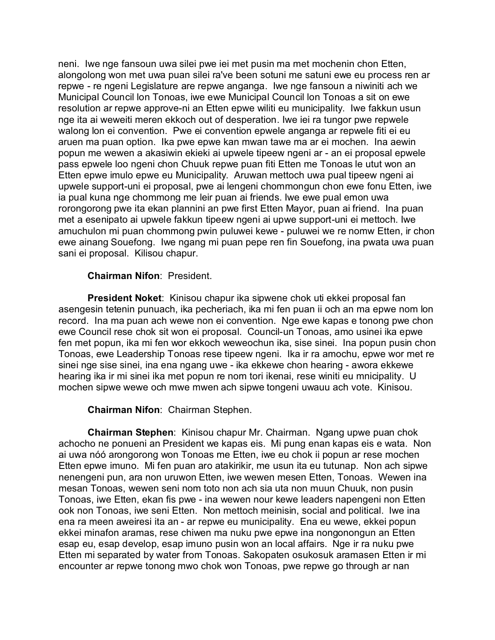neni. Iwe nge fansoun uwa silei pwe iei met pusin ma met mochenin chon Etten, alongolong won met uwa puan silei ra've been sotuni me satuni ewe eu process ren ar repwe - re ngeni Legislature are repwe anganga. Iwe nge fansoun a niwiniti ach we Municipal Council lon Tonoas, iwe ewe Municipal Council lon Tonoas a sit on ewe resolution ar repwe approve-ni an Etten epwe wiliti eu municipality. Iwe fakkun usun nge ita ai weweiti meren ekkoch out of desperation. Iwe iei ra tungor pwe repwele walong lon ei convention. Pwe ei convention epwele anganga ar repwele fiti ei eu aruen ma puan option. Ika pwe epwe kan mwan tawe ma ar ei mochen. Ina aewin popun me wewen a akasiwin ekieki ai upwele tipeew ngeni ar - an ei proposal epwele pass epwele loo ngeni chon Chuuk repwe puan fiti Etten me Tonoas le utut won an Etten epwe imulo epwe eu Municipality. Aruwan mettoch uwa pual tipeew ngeni ai upwele support-uni ei proposal, pwe ai lengeni chommongun chon ewe fonu Etten, iwe ia pual kuna nge chommong me leir puan ai friends. Iwe ewe pual emon uwa rorongorong pwe ita ekan plannini an pwe first Etten Mayor, puan ai friend. Ina puan met a esenipato ai upwele fakkun tipeew ngeni ai upwe support-uni ei mettoch. Iwe amuchulon mi puan chommong pwin puluwei kewe - puluwei we re nomw Etten, ir chon ewe ainang Souefong. Iwe ngang mi puan pepe ren fin Souefong, ina pwata uwa puan sani ei proposal. Kilisou chapur.

### **Chairman Nifon**: President.

**President Noket**: Kinisou chapur ika sipwene chok uti ekkei proposal fan asengesin tetenin punuach, ika pecheriach, ika mi fen puan ii och an ma epwe nom lon record. Ina ma puan ach wewe non ei convention. Nge ewe kapas e tonong pwe chon ewe Council rese chok sit won ei proposal. Council-un Tonoas, amo usinei ika epwe fen met popun, ika mi fen wor ekkoch weweochun ika, sise sinei. Ina popun pusin chon Tonoas, ewe Leadership Tonoas rese tipeew ngeni. Ika ir ra amochu, epwe wor met re sinei nge sise sinei, ina ena ngang uwe - ika ekkewe chon hearing - awora ekkewe hearing ika ir mi sinei ika met popun re nom tori ikenai, rese winiti eu mnicipality. U mochen sipwe wewe och mwe mwen ach sipwe tongeni uwauu ach vote. Kinisou.

# **Chairman Nifon**: Chairman Stephen.

**Chairman Stephen**: Kinisou chapur Mr. Chairman. Ngang upwe puan chok achocho ne ponueni an President we kapas eis. Mi pung enan kapas eis e wata. Non ai uwa nóó arongorong won Tonoas me Etten, iwe eu chok ii popun ar rese mochen Etten epwe imuno. Mi fen puan aro atakirikir, me usun ita eu tutunap. Non ach sipwe nenengeni pun, ara non uruwon Etten, iwe wewen mesen Etten, Tonoas. Wewen ina mesan Tonoas, wewen seni nom toto non ach sia uta non muun Chuuk, non pusin Tonoas, iwe Etten, ekan fis pwe - ina wewen nour kewe leaders napengeni non Etten ook non Tonoas, iwe seni Etten. Non mettoch meinisin, social and political. Iwe ina ena ra meen aweiresi ita an - ar repwe eu municipality. Ena eu wewe, ekkei popun ekkei minafon aramas, rese chiwen ma nuku pwe epwe ina nongonongun an Etten esap eu, esap develop, esap imuno pusin won an local affairs. Nge ir ra nuku pwe Etten mi separated by water from Tonoas. Sakopaten osukosuk aramasen Etten ir mi encounter ar repwe tonong mwo chok won Tonoas, pwe repwe go through ar nan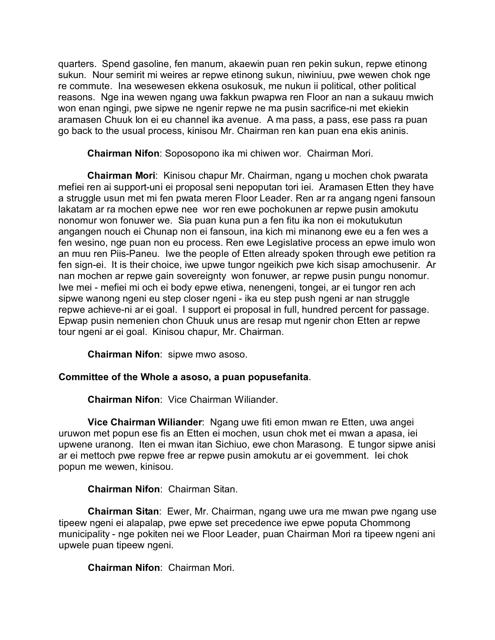quarters. Spend gasoline, fen manum, akaewin puan ren pekin sukun, repwe etinong sukun. Nour semirit mi weires ar repwe etinong sukun, niwiniuu, pwe wewen chok nge re commute. Ina wesewesen ekkena osukosuk, me nukun ii political, other political reasons. Nge ina wewen ngang uwa fakkun pwapwa ren Floor an nan a sukauu mwich won enan ngingi, pwe sipwe ne ngenir repwe ne ma pusin sacrifice-ni met ekiekin aramasen Chuuk lon ei eu channel ika avenue. A ma pass, a pass, ese pass ra puan go back to the usual process, kinisou Mr. Chairman ren kan puan ena ekis aninis.

**Chairman Nifon**: Soposopono ika mi chiwen wor. Chairman Mori.

**Chairman Mori**: Kinisou chapur Mr. Chairman, ngang u mochen chok pwarata mefiei ren ai support-uni ei proposal seni nepoputan tori iei. Aramasen Etten they have a struggle usun met mi fen pwata meren Floor Leader. Ren ar ra angang ngeni fansoun lakatam ar ra mochen epwe nee wor ren ewe pochokunen ar repwe pusin amokutu nonomur won fonuwer we. Sia puan kuna pun a fen fitu ika non ei mokutukutun angangen nouch ei Chunap non ei fansoun, ina kich mi minanong ewe eu a fen wes a fen wesino, nge puan non eu process. Ren ewe Legislative process an epwe imulo won an muu ren Piis-Paneu. Iwe the people of Etten already spoken through ewe petition ra fen sign-ei. It is their choice, iwe upwe tungor ngeikich pwe kich sisap amochusenir. Ar nan mochen ar repwe gain sovereignty won fonuwer, ar repwe pusin pungu nonomur. Iwe mei - mefiei mi och ei body epwe etiwa, nenengeni, tongei, ar ei tungor ren ach sipwe wanong ngeni eu step closer ngeni - ika eu step push ngeni ar nan struggle repwe achieve-ni ar ei goal. I support ei proposal in full, hundred percent for passage. Epwap pusin nemenien chon Chuuk unus are resap mut ngenir chon Etten ar repwe tour ngeni ar ei goal. Kinisou chapur, Mr. Chairman.

**Chairman Nifon**: sipwe mwo asoso.

# **Committee of the Whole a asoso, a puan popusefanita**.

**Chairman Nifon**: Vice Chairman Wiliander.

**Vice Chairman Wiliander**: Ngang uwe fiti emon mwan re Etten, uwa angei uruwon met popun ese fis an Etten ei mochen, usun chok met ei mwan a apasa, iei upwene uranong. Iten ei mwan itan Sichiuo, ewe chon Marasong. E tungor sipwe anisi ar ei mettoch pwe repwe free ar repwe pusin amokutu ar ei government. Iei chok popun me wewen, kinisou.

# **Chairman Nifon**: Chairman Sitan.

**Chairman Sitan**: Ewer, Mr. Chairman, ngang uwe ura me mwan pwe ngang use tipeew ngeni ei alapalap, pwe epwe set precedence iwe epwe poputa Chommong municipality - nge pokiten nei we Floor Leader, puan Chairman Mori ra tipeew ngeni ani upwele puan tipeew ngeni.

# **Chairman Nifon**: Chairman Mori.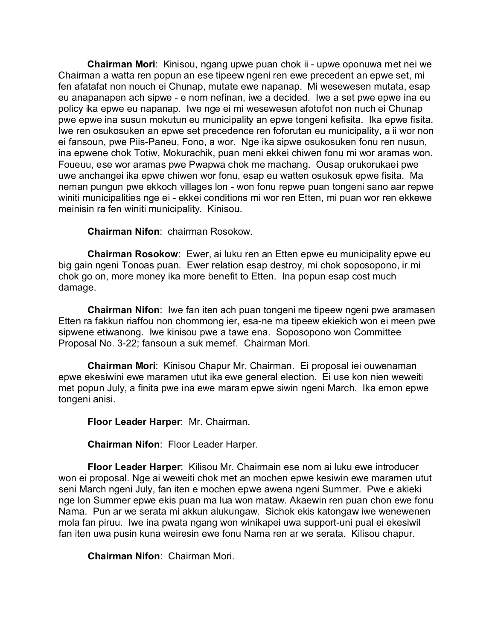**Chairman Mori**: Kinisou, ngang upwe puan chok ii - upwe oponuwa met nei we Chairman a watta ren popun an ese tipeew ngeni ren ewe precedent an epwe set, mi fen afatafat non nouch ei Chunap, mutate ewe napanap. Mi wesewesen mutata, esap eu anapanapen ach sipwe - e nom nefinan, iwe a decided. Iwe a set pwe epwe ina eu policy ika epwe eu napanap. Iwe nge ei mi wesewesen afotofot non nuch ei Chunap pwe epwe ina susun mokutun eu municipality an epwe tongeni kefisita. Ika epwe fisita. Iwe ren osukosuken an epwe set precedence ren foforutan eu municipality, a ii wor non ei fansoun, pwe Piis-Paneu, Fono, a wor. Nge ika sipwe osukosuken fonu ren nusun, ina epwene chok Totiw, Mokurachik, puan meni ekkei chiwen fonu mi wor aramas won. Foueuu, ese wor aramas pwe Pwapwa chok me machang. Ousap orukorukaei pwe uwe anchangei ika epwe chiwen wor fonu, esap eu watten osukosuk epwe fisita. Ma neman pungun pwe ekkoch villages lon - won fonu repwe puan tongeni sano aar repwe winiti municipalities nge ei - ekkei conditions mi wor ren Etten, mi puan wor ren ekkewe meinisin ra fen winiti municipality. Kinisou.

**Chairman Nifon**: chairman Rosokow.

**Chairman Rosokow**: Ewer, ai luku ren an Etten epwe eu municipality epwe eu big gain ngeni Tonoas puan. Ewer relation esap destroy, mi chok soposopono, ir mi chok go on, more money ika more benefit to Etten. Ina popun esap cost much damage.

**Chairman Nifon**: Iwe fan iten ach puan tongeni me tipeew ngeni pwe aramasen Etten ra fakkun riaffou non chommong ier, esa-ne ma tipeew ekiekich won ei meen pwe sipwene etiwanong. Iwe kinisou pwe a tawe ena. Soposopono won Committee Proposal No. 3-22; fansoun a suk memef. Chairman Mori.

**Chairman Mori**: Kinisou Chapur Mr. Chairman. Ei proposal iei ouwenaman epwe ekesiwini ewe maramen utut ika ewe general election. Ei use kon nien weweiti met popun July, a finita pwe ina ewe maram epwe siwin ngeni March. Ika emon epwe tongeni anisi.

**Floor Leader Harper**: Mr. Chairman.

**Chairman Nifon**: Floor Leader Harper.

**Floor Leader Harper**: Kilisou Mr. Chairmain ese nom ai luku ewe introducer won ei proposal. Nge ai weweiti chok met an mochen epwe kesiwin ewe maramen utut seni March ngeni July, fan iten e mochen epwe awena ngeni Summer. Pwe e akieki nge lon Summer epwe ekis puan ma lua won mataw. Akaewin ren puan chon ewe fonu Nama. Pun ar we serata mi akkun alukungaw. Sichok ekis katongaw iwe wenewenen mola fan piruu. Iwe ina pwata ngang won winikapei uwa support-uni pual ei ekesiwil fan iten uwa pusin kuna weiresin ewe fonu Nama ren ar we serata. Kilisou chapur.

**Chairman Nifon**: Chairman Mori.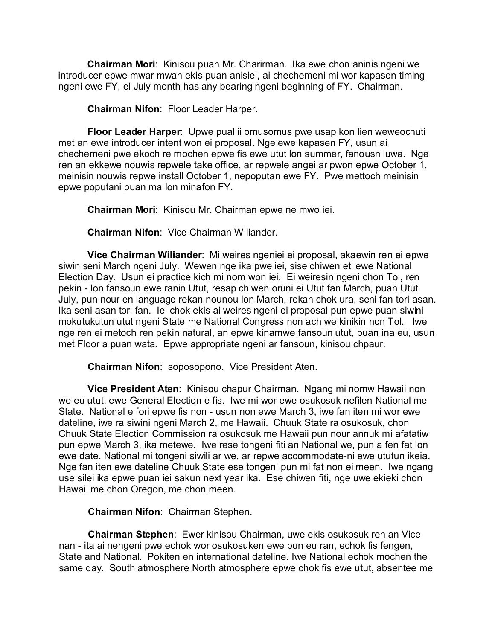**Chairman Mori**: Kinisou puan Mr. Charirman. Ika ewe chon aninis ngeni we introducer epwe mwar mwan ekis puan anisiei, ai chechemeni mi wor kapasen timing ngeni ewe FY, ei July month has any bearing ngeni beginning of FY. Chairman.

**Chairman Nifon**: Floor Leader Harper.

**Floor Leader Harper**: Upwe pual ii omusomus pwe usap kon lien weweochuti met an ewe introducer intent won ei proposal. Nge ewe kapasen FY, usun ai chechemeni pwe ekoch re mochen epwe fis ewe utut lon summer, fanousn luwa. Nge ren an ekkewe nouwis repwele take office, ar repwele angei ar pwon epwe October 1, meinisin nouwis repwe install October 1, nepoputan ewe FY. Pwe mettoch meinisin epwe poputani puan ma lon minafon FY.

**Chairman Mori**: Kinisou Mr. Chairman epwe ne mwo iei.

**Chairman Nifon**: Vice Chairman Wiliander.

**Vice Chairman Wiliander**: Mi weires ngeniei ei proposal, akaewin ren ei epwe siwin seni March ngeni July. Wewen nge ika pwe iei, sise chiwen eti ewe National Election Day. Usun ei practice kich mi nom won iei. Ei weiresin ngeni chon Tol, ren pekin - lon fansoun ewe ranin Utut, resap chiwen oruni ei Utut fan March, puan Utut July, pun nour en language rekan nounou lon March, rekan chok ura, seni fan tori asan. Ika seni asan tori fan. Iei chok ekis ai weires ngeni ei proposal pun epwe puan siwini mokutukutun utut ngeni State me National Congress non ach we kinikin non Tol. Iwe nge ren ei metoch ren pekin natural, an epwe kinamwe fansoun utut, puan ina eu, usun met Floor a puan wata. Epwe appropriate ngeni ar fansoun, kinisou chpaur.

**Chairman Nifon**: soposopono. Vice President Aten.

**Vice President Aten**: Kinisou chapur Chairman. Ngang mi nomw Hawaii non we eu utut, ewe General Election e fis. Iwe mi wor ewe osukosuk nefilen National me State. National e fori epwe fis non - usun non ewe March 3, iwe fan iten mi wor ewe dateline, iwe ra siwini ngeni March 2, me Hawaii. Chuuk State ra osukosuk, chon Chuuk State Election Commission ra osukosuk me Hawaii pun nour annuk mi afatatiw pun epwe March 3, ika metewe. Iwe rese tongeni fiti an National we, pun a fen fat lon ewe date. National mi tongeni siwili ar we, ar repwe accommodate-ni ewe ututun ikeia. Nge fan iten ewe dateline Chuuk State ese tongeni pun mi fat non ei meen. Iwe ngang use silei ika epwe puan iei sakun next year ika. Ese chiwen fiti, nge uwe ekieki chon Hawaii me chon Oregon, me chon meen.

**Chairman Nifon**: Chairman Stephen.

**Chairman Stephen**: Ewer kinisou Chairman, uwe ekis osukosuk ren an Vice nan - ita ai nengeni pwe echok wor osukosuken ewe pun eu ran, echok fis fengen, State and National. Pokiten en international dateline. Iwe National echok mochen the same day. South atmosphere North atmosphere epwe chok fis ewe utut, absentee me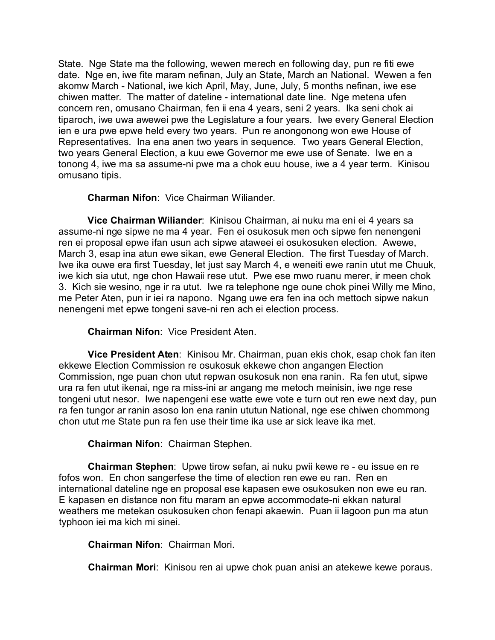State. Nge State ma the following, wewen merech en following day, pun re fiti ewe date. Nge en, iwe fite maram nefinan, July an State, March an National. Wewen a fen akomw March - National, iwe kich April, May, June, July, 5 months nefinan, iwe ese chiwen matter. The matter of dateline - international date line. Nge metena ufen concern ren, omusano Chairman, fen ii ena 4 years, seni 2 years. Ika seni chok ai tiparoch, iwe uwa awewei pwe the Legislature a four years. Iwe every General Election ien e ura pwe epwe held every two years. Pun re anongonong won ewe House of Representatives. Ina ena anen two years in sequence. Two years General Election, two years General Election, a kuu ewe Governor me ewe use of Senate. Iwe en a tonong 4, iwe ma sa assume-ni pwe ma a chok euu house, iwe a 4 year term. Kinisou omusano tipis.

**Charman Nifon**: Vice Chairman Wiliander.

**Vice Chairman Wiliander**: Kinisou Chairman, ai nuku ma eni ei 4 years sa assume-ni nge sipwe ne ma 4 year. Fen ei osukosuk men och sipwe fen nenengeni ren ei proposal epwe ifan usun ach sipwe ataweei ei osukosuken election. Awewe, March 3, esap ina atun ewe sikan, ewe General Election. The first Tuesday of March. Iwe ika ouwe era first Tuesday, let just say March 4, e weneiti ewe ranin utut me Chuuk, iwe kich sia utut, nge chon Hawaii rese utut. Pwe ese mwo ruanu merer, ir meen chok 3. Kich sie wesino, nge ir ra utut. Iwe ra telephone nge oune chok pinei Willy me Mino, me Peter Aten, pun ir iei ra napono. Ngang uwe era fen ina och mettoch sipwe nakun nenengeni met epwe tongeni save-ni ren ach ei election process.

# **Chairman Nifon**: Vice President Aten.

**Vice President Aten**: Kinisou Mr. Chairman, puan ekis chok, esap chok fan iten ekkewe Election Commission re osukosuk ekkewe chon angangen Election Commission, nge puan chon utut repwan osukosuk non ena ranin. Ra fen utut, sipwe ura ra fen utut ikenai, nge ra miss-ini ar angang me metoch meinisin, iwe nge rese tongeni utut nesor. Iwe napengeni ese watte ewe vote e turn out ren ewe next day, pun ra fen tungor ar ranin asoso lon ena ranin ututun National, nge ese chiwen chommong chon utut me State pun ra fen use their time ika use ar sick leave ika met.

**Chairman Nifon**: Chairman Stephen.

**Chairman Stephen**: Upwe tirow sefan, ai nuku pwii kewe re - eu issue en re fofos won. En chon sangerfese the time of election ren ewe eu ran. Ren en international dateline nge en proposal ese kapasen ewe osukosuken non ewe eu ran. E kapasen en distance non fitu maram an epwe accommodate-ni ekkan natural weathers me metekan osukosuken chon fenapi akaewin. Puan ii lagoon pun ma atun typhoon iei ma kich mi sinei.

**Chairman Nifon**: Chairman Mori.

**Chairman Mori**: Kinisou ren ai upwe chok puan anisi an atekewe kewe poraus.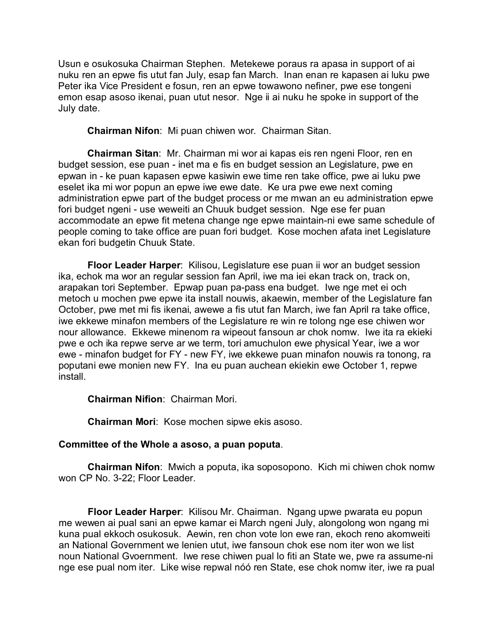Usun e osukosuka Chairman Stephen. Metekewe poraus ra apasa in support of ai nuku ren an epwe fis utut fan July, esap fan March. Inan enan re kapasen ai luku pwe Peter ika Vice President e fosun, ren an epwe towawono nefiner, pwe ese tongeni emon esap asoso ikenai, puan utut nesor. Nge ii ai nuku he spoke in support of the July date.

**Chairman Nifon**: Mi puan chiwen wor. Chairman Sitan.

**Chairman Sitan**: Mr. Chairman mi wor ai kapas eis ren ngeni Floor, ren en budget session, ese puan - inet ma e fis en budget session an Legislature, pwe en epwan in - ke puan kapasen epwe kasiwin ewe time ren take office, pwe ai luku pwe eselet ika mi wor popun an epwe iwe ewe date. Ke ura pwe ewe next coming administration epwe part of the budget process or me mwan an eu administration epwe fori budget ngeni - use weweiti an Chuuk budget session. Nge ese fer puan accommodate an epwe fit metena change nge epwe maintain-ni ewe same schedule of people coming to take office are puan fori budget. Kose mochen afata inet Legislature ekan fori budgetin Chuuk State.

**Floor Leader Harper**: Kilisou, Legislature ese puan ii wor an budget session ika, echok ma wor an regular session fan April, iwe ma iei ekan track on, track on, arapakan tori September. Epwap puan pa-pass ena budget. Iwe nge met ei och metoch u mochen pwe epwe ita install nouwis, akaewin, member of the Legislature fan October, pwe met mi fis ikenai, awewe a fis utut fan March, iwe fan April ra take office, iwe ekkewe minafon members of the Legislature re win re tolong nge ese chiwen wor nour allowance. Ekkewe minenom ra wipeout fansoun ar chok nomw. Iwe ita ra ekieki pwe e och ika repwe serve ar we term, tori amuchulon ewe physical Year, iwe a wor ewe - minafon budget for FY - new FY, iwe ekkewe puan minafon nouwis ra tonong, ra poputani ewe monien new FY. Ina eu puan auchean ekiekin ewe October 1, repwe install.

**Chairman Nifion**: Chairman Mori.

**Chairman Mori**: Kose mochen sipwe ekis asoso.

### **Committee of the Whole a asoso, a puan poputa**.

**Chairman Nifon**: Mwich a poputa, ika soposopono. Kich mi chiwen chok nomw won CP No. 3-22; Floor Leader.

**Floor Leader Harper**: Kilisou Mr. Chairman. Ngang upwe pwarata eu popun me wewen ai pual sani an epwe kamar ei March ngeni July, alongolong won ngang mi kuna pual ekkoch osukosuk. Aewin, ren chon vote lon ewe ran, ekoch reno akomweiti an National Government we lenien utut, iwe fansoun chok ese nom iter won we list noun National Gvoernment. Iwe rese chiwen pual lo fiti an State we, pwe ra assume-ni nge ese pual nom iter. Like wise repwal nóó ren State, ese chok nomw iter, iwe ra pual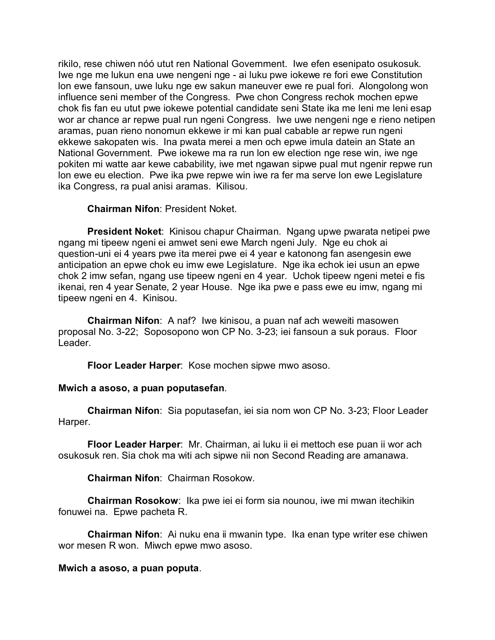rikilo, rese chiwen nóó utut ren National Government. Iwe efen esenipato osukosuk. Iwe nge me lukun ena uwe nengeni nge - ai luku pwe iokewe re fori ewe Constitution lon ewe fansoun, uwe luku nge ew sakun maneuver ewe re pual fori. Alongolong won influence seni member of the Congress. Pwe chon Congress rechok mochen epwe chok fis fan eu utut pwe iokewe potential candidate seni State ika me leni me leni esap wor ar chance ar repwe pual run ngeni Congress. Iwe uwe nengeni nge e rieno netipen aramas, puan rieno nonomun ekkewe ir mi kan pual cabable ar repwe run ngeni ekkewe sakopaten wis. Ina pwata merei a men och epwe imula datein an State an National Government. Pwe iokewe ma ra run lon ew election nge rese win, iwe nge pokiten mi watte aar kewe cabability, iwe met ngawan sipwe pual mut ngenir repwe run lon ewe eu election. Pwe ika pwe repwe win iwe ra fer ma serve lon ewe Legislature ika Congress, ra pual anisi aramas. Kilisou.

### **Chairman Nifon**: President Noket.

**President Noket**: Kinisou chapur Chairman. Ngang upwe pwarata netipei pwe ngang mi tipeew ngeni ei amwet seni ewe March ngeni July. Nge eu chok ai question-uni ei 4 years pwe ita merei pwe ei 4 year e katonong fan asengesin ewe anticipation an epwe chok eu imw ewe Legislature. Nge ika echok iei usun an epwe chok 2 imw sefan, ngang use tipeew ngeni en 4 year. Uchok tipeew ngeni metei e fis ikenai, ren 4 year Senate, 2 year House. Nge ika pwe e pass ewe eu imw, ngang mi tipeew ngeni en 4. Kinisou.

**Chairman Nifon**: A naf? Iwe kinisou, a puan naf ach weweiti masowen proposal No. 3-22; Soposopono won CP No. 3-23; iei fansoun a suk poraus. Floor Leader.

**Floor Leader Harper**: Kose mochen sipwe mwo asoso.

# **Mwich a asoso, a puan poputasefan**.

**Chairman Nifon**: Sia poputasefan, iei sia nom won CP No. 3-23; Floor Leader Harper.

**Floor Leader Harper**: Mr. Chairman, ai luku ii ei mettoch ese puan ii wor ach osukosuk ren. Sia chok ma witi ach sipwe nii non Second Reading are amanawa.

**Chairman Nifon**: Chairman Rosokow.

**Chairman Rosokow**: Ika pwe iei ei form sia nounou, iwe mi mwan itechikin fonuwei na. Epwe pacheta R.

**Chairman Nifon**: Ai nuku ena ii mwanin type. Ika enan type writer ese chiwen wor mesen R won. Miwch epwe mwo asoso.

# **Mwich a asoso, a puan poputa**.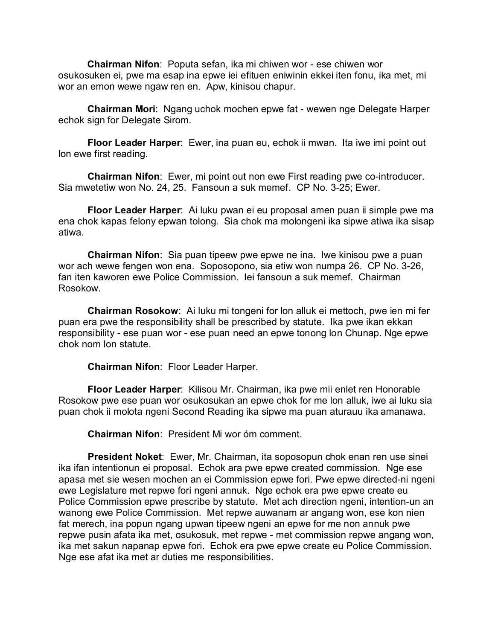**Chairman Nifon**: Poputa sefan, ika mi chiwen wor - ese chiwen wor osukosuken ei, pwe ma esap ina epwe iei efituen eniwinin ekkei iten fonu, ika met, mi wor an emon wewe ngaw ren en. Apw, kinisou chapur.

**Chairman Mori**: Ngang uchok mochen epwe fat - wewen nge Delegate Harper echok sign for Delegate Sirom.

**Floor Leader Harper**: Ewer, ina puan eu, echok ii mwan. Ita iwe imi point out lon ewe first reading.

**Chairman Nifon**: Ewer, mi point out non ewe First reading pwe co-introducer. Sia mwetetiw won No. 24, 25. Fansoun a suk memef. CP No. 3-25; Ewer.

**Floor Leader Harper**: Ai luku pwan ei eu proposal amen puan ii simple pwe ma ena chok kapas felony epwan tolong. Sia chok ma molongeni ika sipwe atiwa ika sisap atiwa.

**Chairman Nifon**: Sia puan tipeew pwe epwe ne ina. Iwe kinisou pwe a puan wor ach wewe fengen won ena. Soposopono, sia etiw won numpa 26. CP No. 3-26, fan iten kaworen ewe Police Commission. Iei fansoun a suk memef. Chairman Rosokow.

**Chairman Rosokow**: Ai luku mi tongeni for lon alluk ei mettoch, pwe ien mi fer puan era pwe the responsibility shall be prescribed by statute. Ika pwe ikan ekkan responsibility - ese puan wor - ese puan need an epwe tonong lon Chunap. Nge epwe chok nom lon statute.

**Chairman Nifon**: Floor Leader Harper.

**Floor Leader Harper**: Kilisou Mr. Chairman, ika pwe mii enlet ren Honorable Rosokow pwe ese puan wor osukosukan an epwe chok for me lon alluk, iwe ai luku sia puan chok ii molota ngeni Second Reading ika sipwe ma puan aturauu ika amanawa.

**Chairman Nifon**: President Mi wor óm comment.

**President Noket**: Ewer, Mr. Chairman, ita soposopun chok enan ren use sinei ika ifan intentionun ei proposal. Echok ara pwe epwe created commission. Nge ese apasa met sie wesen mochen an ei Commission epwe fori. Pwe epwe directed-ni ngeni ewe Legislature met repwe fori ngeni annuk. Nge echok era pwe epwe create eu Police Commission epwe prescribe by statute. Met ach direction ngeni, intention-un an wanong ewe Police Commission. Met repwe auwanam ar angang won, ese kon nien fat merech, ina popun ngang upwan tipeew ngeni an epwe for me non annuk pwe repwe pusin afata ika met, osukosuk, met repwe - met commission repwe angang won, ika met sakun napanap epwe fori. Echok era pwe epwe create eu Police Commission. Nge ese afat ika met ar duties me responsibilities.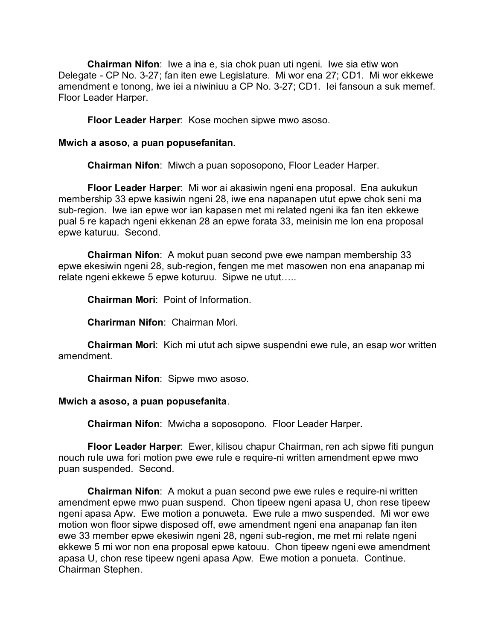**Chairman Nifon**: Iwe a ina e, sia chok puan uti ngeni. Iwe sia etiw won Delegate - CP No. 3-27; fan iten ewe Legislature. Mi wor ena 27; CD1. Mi wor ekkewe amendment e tonong, iwe iei a niwiniuu a CP No. 3-27; CD1. Iei fansoun a suk memef. Floor Leader Harper.

**Floor Leader Harper**: Kose mochen sipwe mwo asoso.

#### **Mwich a asoso, a puan popusefanitan**.

**Chairman Nifon**: Miwch a puan soposopono, Floor Leader Harper.

**Floor Leader Harper**: Mi wor ai akasiwin ngeni ena proposal. Ena aukukun membership 33 epwe kasiwin ngeni 28, iwe ena napanapen utut epwe chok seni ma sub-region. Iwe ian epwe wor ian kapasen met mi related ngeni ika fan iten ekkewe pual 5 re kapach ngeni ekkenan 28 an epwe forata 33, meinisin me lon ena proposal epwe katuruu. Second.

**Chairman Nifon**: A mokut puan second pwe ewe nampan membership 33 epwe ekesiwin ngeni 28, sub-region, fengen me met masowen non ena anapanap mi relate ngeni ekkewe 5 epwe koturuu. Sipwe ne utut…..

**Chairman Mori**: Point of Information.

**Charirman Nifon**: Chairman Mori.

**Chairman Mori**: Kich mi utut ach sipwe suspendni ewe rule, an esap wor written amendment.

**Chairman Nifon**: Sipwe mwo asoso.

#### **Mwich a asoso, a puan popusefanita**.

**Chairman Nifon**: Mwicha a soposopono. Floor Leader Harper.

**Floor Leader Harper**: Ewer, kilisou chapur Chairman, ren ach sipwe fiti pungun nouch rule uwa fori motion pwe ewe rule e require-ni written amendment epwe mwo puan suspended. Second.

**Chairman Nifon**: A mokut a puan second pwe ewe rules e require-ni written amendment epwe mwo puan suspend. Chon tipeew ngeni apasa U, chon rese tipeew ngeni apasa Apw. Ewe motion a ponuweta. Ewe rule a mwo suspended. Mi wor ewe motion won floor sipwe disposed off, ewe amendment ngeni ena anapanap fan iten ewe 33 member epwe ekesiwin ngeni 28, ngeni sub-region, me met mi relate ngeni ekkewe 5 mi wor non ena proposal epwe katouu. Chon tipeew ngeni ewe amendment apasa U, chon rese tipeew ngeni apasa Apw. Ewe motion a ponueta. Continue. Chairman Stephen.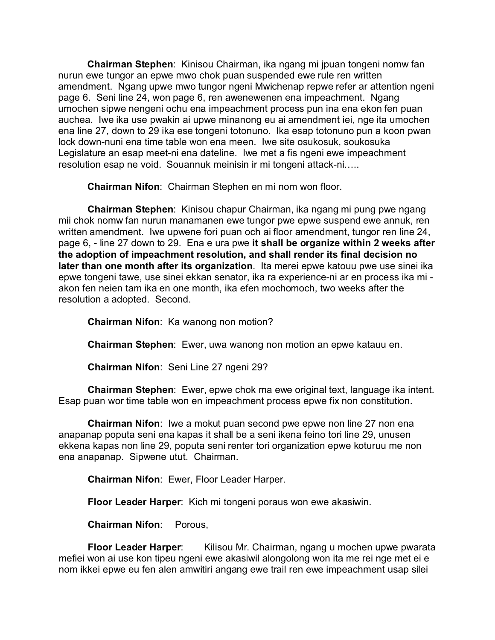**Chairman Stephen**: Kinisou Chairman, ika ngang mi jpuan tongeni nomw fan nurun ewe tungor an epwe mwo chok puan suspended ewe rule ren written amendment. Ngang upwe mwo tungor ngeni Mwichenap repwe refer ar attention ngeni page 6. Seni line 24, won page 6, ren awenewenen ena impeachment. Ngang umochen sipwe nengeni ochu ena impeachment process pun ina ena ekon fen puan auchea. Iwe ika use pwakin ai upwe minanong eu ai amendment iei, nge ita umochen ena line 27, down to 29 ika ese tongeni totonuno. Ika esap totonuno pun a koon pwan lock down-nuni ena time table won ena meen. Iwe site osukosuk, soukosuka Legislature an esap meet-ni ena dateline. Iwe met a fis ngeni ewe impeachment resolution esap ne void. Souannuk meinisin ir mi tongeni attack-ni…..

**Chairman Nifon**: Chairman Stephen en mi nom won floor.

**Chairman Stephen**: Kinisou chapur Chairman, ika ngang mi pung pwe ngang mii chok nomw fan nurun manamanen ewe tungor pwe epwe suspend ewe annuk, ren written amendment. Iwe upwene fori puan och ai floor amendment, tungor ren line 24, page 6, - line 27 down to 29. Ena e ura pwe **it shall be organize within 2 weeks after the adoption of impeachment resolution, and shall render its final decision no later than one month after its organization**. Ita merei epwe katouu pwe use sinei ika epwe tongeni tawe, use sinei ekkan senator, ika ra experience-ni ar en process ika mi akon fen neien tam ika en one month, ika efen mochomoch, two weeks after the resolution a adopted. Second.

**Chairman Nifon**: Ka wanong non motion?

**Chairman Stephen**: Ewer, uwa wanong non motion an epwe katauu en.

**Chairman Nifon**: Seni Line 27 ngeni 29?

**Chairman Stephen**: Ewer, epwe chok ma ewe original text, language ika intent. Esap puan wor time table won en impeachment process epwe fix non constitution.

**Chairman Nifon**: Iwe a mokut puan second pwe epwe non line 27 non ena anapanap poputa seni ena kapas it shall be a seni ikena feino tori line 29, unusen ekkena kapas non line 29, poputa seni renter tori organization epwe koturuu me non ena anapanap. Sipwene utut. Chairman.

**Chairman Nifon**: Ewer, Floor Leader Harper.

**Floor Leader Harper**: Kich mi tongeni poraus won ewe akasiwin.

**Chairman Nifon**: Porous,

**Floor Leader Harper**: Kilisou Mr. Chairman, ngang u mochen upwe pwarata mefiei won ai use kon tipeu ngeni ewe akasiwil alongolong won ita me rei nge met ei e nom ikkei epwe eu fen alen amwitiri angang ewe trail ren ewe impeachment usap silei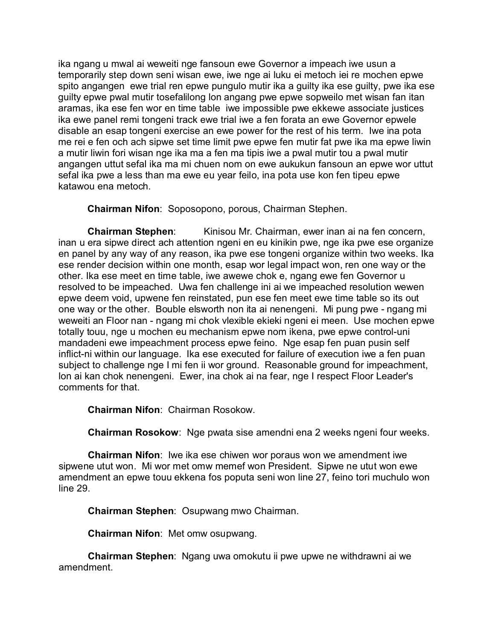ika ngang u mwal ai weweiti nge fansoun ewe Governor a impeach iwe usun a temporarily step down seni wisan ewe, iwe nge ai luku ei metoch iei re mochen epwe spito angangen ewe trial ren epwe pungulo mutir ika a guilty ika ese guilty, pwe ika ese guilty epwe pwal mutir tosefalilong lon angang pwe epwe sopweilo met wisan fan itan aramas, ika ese fen wor en time table iwe impossible pwe ekkewe associate justices ika ewe panel remi tongeni track ewe trial iwe a fen forata an ewe Governor epwele disable an esap tongeni exercise an ewe power for the rest of his term. Iwe ina pota me rei e fen och ach sipwe set time limit pwe epwe fen mutir fat pwe ika ma epwe liwin a mutir liwin fori wisan nge ika ma a fen ma tipis iwe a pwal mutir tou a pwal mutir angangen uttut sefal ika ma mi chuen nom on ewe aukukun fansoun an epwe wor uttut sefal ika pwe a less than ma ewe eu year feilo, ina pota use kon fen tipeu epwe katawou ena metoch.

**Chairman Nifon**: Soposopono, porous, Chairman Stephen.

**Chairman Stephen:** Kinisou Mr. Chairman, ewer inan ai na fen concern, inan u era sipwe direct ach attention ngeni en eu kinikin pwe, nge ika pwe ese organize en panel by any way of any reason, ika pwe ese tongeni organize within two weeks. Ika ese render decision within one month, esap wor legal impact won, ren one way or the other. Ika ese meet en time table, iwe awewe chok e, ngang ewe fen Governor u resolved to be impeached. Uwa fen challenge ini ai we impeached resolution wewen epwe deem void, upwene fen reinstated, pun ese fen meet ewe time table so its out one way or the other. Bouble elsworth non ita ai nenengeni. Mi pung pwe - ngang mi weweiti an Floor nan - ngang mi chok vlexible ekieki ngeni ei meen. Use mochen epwe totally touu, nge u mochen eu mechanism epwe nom ikena, pwe epwe control-uni mandadeni ewe impeachment process epwe feino. Nge esap fen puan pusin self inflict-ni within our language. Ika ese executed for failure of execution iwe a fen puan subject to challenge nge I mi fen ii wor ground. Reasonable ground for impeachment, lon ai kan chok nenengeni. Ewer, ina chok ai na fear, nge I respect Floor Leader's comments for that.

**Chairman Nifon**: Chairman Rosokow.

**Chairman Rosokow**: Nge pwata sise amendni ena 2 weeks ngeni four weeks.

**Chairman Nifon**: Iwe ika ese chiwen wor poraus won we amendment iwe sipwene utut won. Mi wor met omw memef won President. Sipwe ne utut won ewe amendment an epwe touu ekkena fos poputa seni won line 27, feino tori muchulo won line 29.

**Chairman Stephen**: Osupwang mwo Chairman.

**Chairman Nifon**: Met omw osupwang.

**Chairman Stephen**: Ngang uwa omokutu ii pwe upwe ne withdrawni ai we amendment.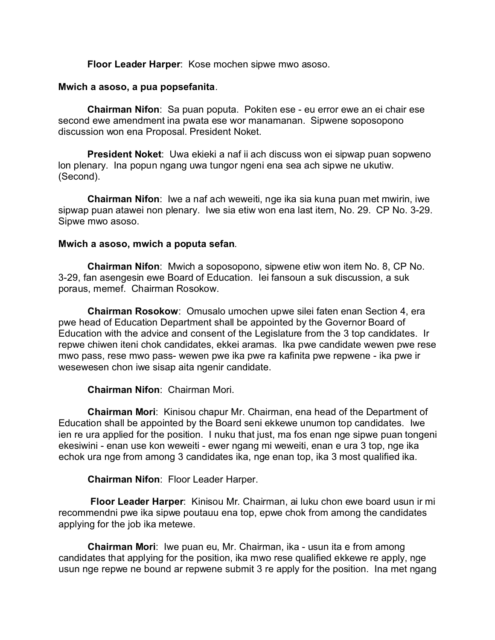**Floor Leader Harper**: Kose mochen sipwe mwo asoso.

### **Mwich a asoso, a pua popsefanita**.

**Chairman Nifon**: Sa puan poputa. Pokiten ese - eu error ewe an ei chair ese second ewe amendment ina pwata ese wor manamanan. Sipwene soposopono discussion won ena Proposal. President Noket.

**President Noket**: Uwa ekieki a naf ii ach discuss won ei sipwap puan sopweno lon plenary. Ina popun ngang uwa tungor ngeni ena sea ach sipwe ne ukutiw. (Second).

**Chairman Nifon**: Iwe a naf ach weweiti, nge ika sia kuna puan met mwirin, iwe sipwap puan atawei non plenary. Iwe sia etiw won ena last item, No. 29. CP No. 3-29. Sipwe mwo asoso.

### **Mwich a asoso, mwich a poputa sefan**.

**Chairman Nifon**: Mwich a soposopono, sipwene etiw won item No. 8, CP No. 3-29, fan asengesin ewe Board of Education. Iei fansoun a suk discussion, a suk poraus, memef. Chairman Rosokow.

**Chairman Rosokow**: Omusalo umochen upwe silei faten enan Section 4, era pwe head of Education Department shall be appointed by the Governor Board of Education with the advice and consent of the Legislature from the 3 top candidates. Ir repwe chiwen iteni chok candidates, ekkei aramas. Ika pwe candidate wewen pwe rese mwo pass, rese mwo pass- wewen pwe ika pwe ra kafinita pwe repwene - ika pwe ir wesewesen chon iwe sisap aita ngenir candidate.

# **Chairman Nifon**: Chairman Mori.

**Chairman Mori**: Kinisou chapur Mr. Chairman, ena head of the Department of Education shall be appointed by the Board seni ekkewe unumon top candidates. Iwe ien re ura applied for the position. I nuku that just, ma fos enan nge sipwe puan tongeni ekesiwini - enan use kon weweiti - ewer ngang mi weweiti, enan e ura 3 top, nge ika echok ura nge from among 3 candidates ika, nge enan top, ika 3 most qualified ika.

**Chairman Nifon**: Floor Leader Harper.

**Floor Leader Harper**: Kinisou Mr. Chairman, ai luku chon ewe board usun ir mi recommendni pwe ika sipwe poutauu ena top, epwe chok from among the candidates applying for the job ika metewe.

**Chairman Mori**: Iwe puan eu, Mr. Chairman, ika - usun ita e from among candidates that applying for the position, ika mwo rese qualified ekkewe re apply, nge usun nge repwe ne bound ar repwene submit 3 re apply for the position. Ina met ngang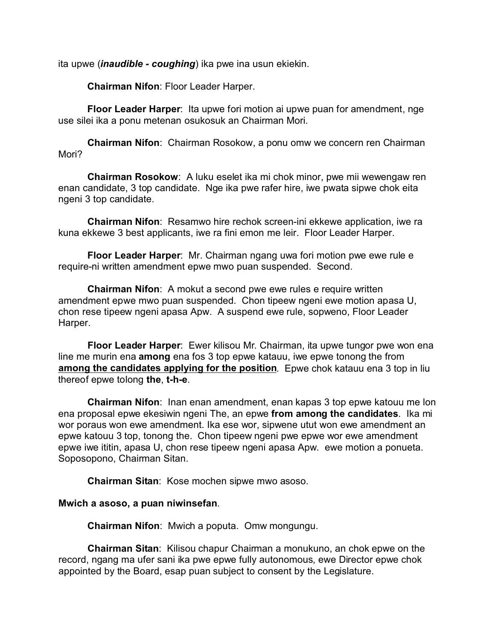ita upwe (*inaudible - coughing*) ika pwe ina usun ekiekin.

**Chairman Nifon**: Floor Leader Harper.

**Floor Leader Harper**: Ita upwe fori motion ai upwe puan for amendment, nge use silei ika a ponu metenan osukosuk an Chairman Mori.

**Chairman Nifon**: Chairman Rosokow, a ponu omw we concern ren Chairman Mori?

**Chairman Rosokow**: A luku eselet ika mi chok minor, pwe mii wewengaw ren enan candidate, 3 top candidate. Nge ika pwe rafer hire, iwe pwata sipwe chok eita ngeni 3 top candidate.

**Chairman Nifon**: Resamwo hire rechok screen-ini ekkewe application, iwe ra kuna ekkewe 3 best applicants, iwe ra fini emon me leir. Floor Leader Harper.

**Floor Leader Harper**: Mr. Chairman ngang uwa fori motion pwe ewe rule e require-ni written amendment epwe mwo puan suspended. Second.

**Chairman Nifon**: A mokut a second pwe ewe rules e require written amendment epwe mwo puan suspended. Chon tipeew ngeni ewe motion apasa U, chon rese tipeew ngeni apasa Apw. A suspend ewe rule, sopweno, Floor Leader Harper.

**Floor Leader Harper**: Ewer kilisou Mr. Chairman, ita upwe tungor pwe won ena line me murin ena **among** ena fos 3 top epwe katauu, iwe epwe tonong the from **among the candidates applying for the position**. Epwe chok katauu ena 3 top in liu thereof epwe tolong **the**, **t-h-e**.

**Chairman Nifon**: Inan enan amendment, enan kapas 3 top epwe katouu me lon ena proposal epwe ekesiwin ngeni The, an epwe **from among the candidates**. Ika mi wor poraus won ewe amendment. Ika ese wor, sipwene utut won ewe amendment an epwe katouu 3 top, tonong the. Chon tipeew ngeni pwe epwe wor ewe amendment epwe iwe ititin, apasa U, chon rese tipeew ngeni apasa Apw. ewe motion a ponueta. Soposopono, Chairman Sitan.

**Chairman Sitan**: Kose mochen sipwe mwo asoso.

### **Mwich a asoso, a puan niwinsefan**.

**Chairman Nifon**: Mwich a poputa. Omw mongungu.

**Chairman Sitan**: Kilisou chapur Chairman a monukuno, an chok epwe on the record, ngang ma ufer sani ika pwe epwe fully autonomous, ewe Director epwe chok appointed by the Board, esap puan subject to consent by the Legislature.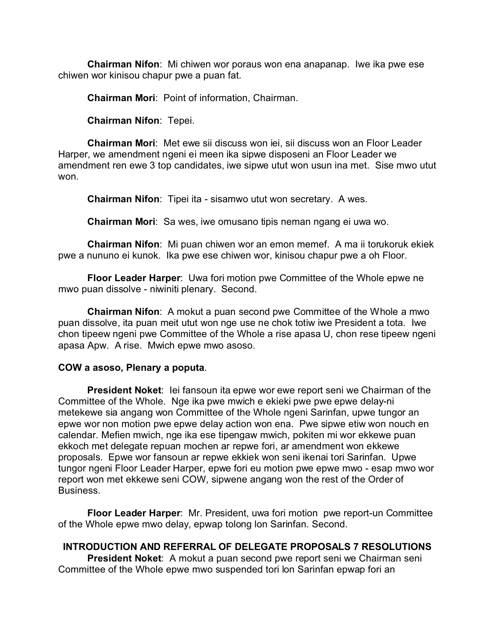**Chairman Nifon**: Mi chiwen wor poraus won ena anapanap. Iwe ika pwe ese chiwen wor kinisou chapur pwe a puan fat.

**Chairman Mori**: Point of information, Chairman.

**Chairman Nifon**: Tepei.

**Chairman Mori**: Met ewe sii discuss won iei, sii discuss won an Floor Leader Harper, we amendment ngeni ei meen ika sipwe disposeni an Floor Leader we amendment ren ewe 3 top candidates, iwe sipwe utut won usun ina met. Sise mwo utut won.

**Chairman Nifon**: Tipei ita - sisamwo utut won secretary. A wes.

**Chairman Mori**: Sa wes, iwe omusano tipis neman ngang ei uwa wo.

**Chairman Nifon**: Mi puan chiwen wor an emon memef. A ma ii torukoruk ekiek pwe a nununo ei kunok. Ika pwe ese chiwen wor, kinisou chapur pwe a oh Floor.

**Floor Leader Harper**: Uwa fori motion pwe Committee of the Whole epwe ne mwo puan dissolve - niwiniti plenary. Second.

**Chairman Nifon**: A mokut a puan second pwe Committee of the Whole a mwo puan dissolve, ita puan meit utut won nge use ne chok totiw iwe President a tota. Iwe chon tipeew ngeni pwe Committee of the Whole a rise apasa U, chon rese tipeew ngeni apasa Apw. A rise. Mwich epwe mwo asoso.

### **COW a asoso, Plenary a poputa**.

**President Noket**: Iei fansoun ita epwe wor ewe report seni we Chairman of the Committee of the Whole. Nge ika pwe mwich e ekieki pwe pwe epwe delay-ni metekewe sia angang won Committee of the Whole ngeni Sarinfan, upwe tungor an epwe wor non motion pwe epwe delay action won ena. Pwe sipwe etiw won nouch en calendar. Mefien mwich, nge ika ese tipengaw mwich, pokiten mi wor ekkewe puan ekkoch met delegate repuan mochen ar repwe fori, ar amendment won ekkewe proposals. Epwe wor fansoun ar repwe ekkiek won seni ikenai tori Sarinfan. Upwe tungor ngeni Floor Leader Harper, epwe fori eu motion pwe epwe mwo - esap mwo wor report won met ekkewe seni COW, sipwene angang won the rest of the Order of Business.

**Floor Leader Harper**: Mr. President, uwa fori motion pwe report-un Committee of the Whole epwe mwo delay, epwap tolong lon Sarinfan. Second.

# **INTRODUCTION AND REFERRAL OF DELEGATE PROPOSALS 7 RESOLUTIONS**

**President Noket**: A mokut a puan second pwe report seni we Chairman seni Committee of the Whole epwe mwo suspended tori lon Sarinfan epwap fori an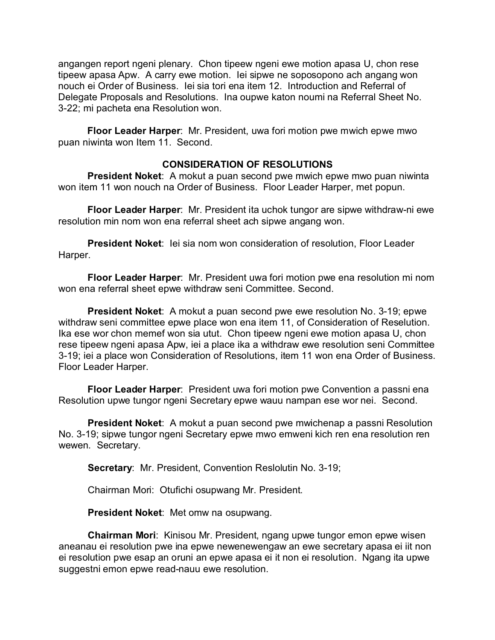angangen report ngeni plenary. Chon tipeew ngeni ewe motion apasa U, chon rese tipeew apasa Apw. A carry ewe motion. Iei sipwe ne soposopono ach angang won nouch ei Order of Business. Iei sia tori ena item 12. Introduction and Referral of Delegate Proposals and Resolutions. Ina oupwe katon noumi na Referral Sheet No. 3-22; mi pacheta ena Resolution won.

**Floor Leader Harper**: Mr. President, uwa fori motion pwe mwich epwe mwo puan niwinta won Item 11. Second.

# **CONSIDERATION OF RESOLUTIONS**

**President Noket**: A mokut a puan second pwe mwich epwe mwo puan niwinta won item 11 won nouch na Order of Business. Floor Leader Harper, met popun.

**Floor Leader Harper**: Mr. President ita uchok tungor are sipwe withdraw-ni ewe resolution min nom won ena referral sheet ach sipwe angang won.

**President Noket**: Iei sia nom won consideration of resolution, Floor Leader Harper.

**Floor Leader Harper**: Mr. President uwa fori motion pwe ena resolution mi nom won ena referral sheet epwe withdraw seni Committee. Second.

**President Noket**: A mokut a puan second pwe ewe resolution No. 3-19; epwe withdraw seni committee epwe place won ena item 11, of Consideration of Reselution. Ika ese wor chon memef won sia utut. Chon tipeew ngeni ewe motion apasa U, chon rese tipeew ngeni apasa Apw, iei a place ika a withdraw ewe resolution seni Committee 3-19; iei a place won Consideration of Resolutions, item 11 won ena Order of Business. Floor Leader Harper.

**Floor Leader Harper**: President uwa fori motion pwe Convention a passni ena Resolution upwe tungor ngeni Secretary epwe wauu nampan ese wor nei. Second.

**President Noket**: A mokut a puan second pwe mwichenap a passni Resolution No. 3-19; sipwe tungor ngeni Secretary epwe mwo emweni kich ren ena resolution ren wewen. Secretary.

**Secretary**: Mr. President, Convention Reslolutin No. 3-19;

Chairman Mori: Otufichi osupwang Mr. President.

**President Noket**: Met omw na osupwang.

**Chairman Mori**: Kinisou Mr. President, ngang upwe tungor emon epwe wisen aneanau ei resolution pwe ina epwe newenewengaw an ewe secretary apasa ei iit non ei resolution pwe esap an oruni an epwe apasa ei it non ei resolution. Ngang ita upwe suggestni emon epwe read-nauu ewe resolution.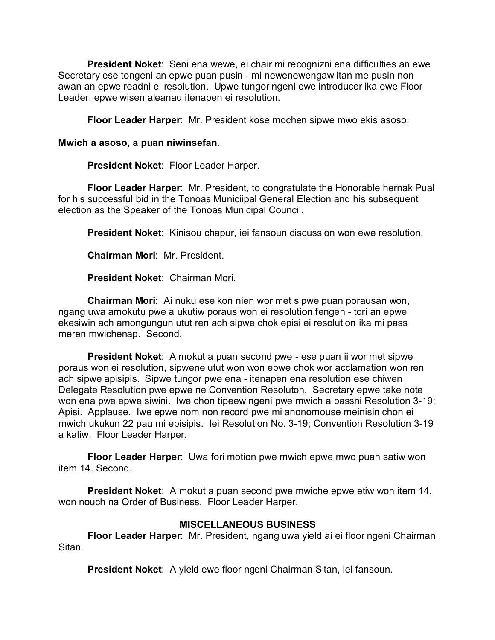**President Noket**: Seni ena wewe, ei chair mi recognizni ena difficulties an ewe Secretary ese tongeni an epwe puan pusin - mi newenewengaw itan me pusin non awan an epwe readni ei resolution. Upwe tungor ngeni ewe introducer ika ewe Floor Leader, epwe wisen aleanau itenapen ei resolution.

**Floor Leader Harper**: Mr. President kose mochen sipwe mwo ekis asoso.

### **Mwich a asoso, a puan niwinsefan**.

**President Noket**: Floor Leader Harper.

**Floor Leader Harper**: Mr. President, to congratulate the Honorable hernak Pual for his successful bid in the Tonoas Municiipal General Election and his subsequent election as the Speaker of the Tonoas Municipal Council.

**President Noket**: Kinisou chapur, iei fansoun discussion won ewe resolution.

**Chairman Mori**: Mr. President.

**President Noket**: Chairman Mori.

**Chairman Mori**: Ai nuku ese kon nien wor met sipwe puan porausan won, ngang uwa amokutu pwe a ukutiw poraus won ei resolution fengen - tori an epwe ekesiwin ach amongungun utut ren ach sipwe chok episi ei resolution ika mi pass meren mwichenap. Second.

**President Noket**: A mokut a puan second pwe - ese puan ii wor met sipwe poraus won ei resolution, sipwene utut won won epwe chok wor acclamation won ren ach sipwe apisipis. Sipwe tungor pwe ena - itenapen ena resolution ese chiwen Delegate Resolution pwe epwe ne Convention Resoluton. Secretary epwe take note won ena pwe epwe siwini. Iwe chon tipeew ngeni pwe mwich a passni Resolution 3-19; Apisi. Applause. Iwe epwe nom non record pwe mi anonomouse meinisin chon ei mwich ukukun 22 pau mi episipis. Iei Resolution No. 3-19; Convention Resolution 3-19 a katiw. Floor Leader Harper.

**Floor Leader Harper**: Uwa fori motion pwe mwich epwe mwo puan satiw won item 14. Second.

**President Noket:** A mokut a puan second pwe mwiche epwe etiw won item 14, won nouch na Order of Business. Floor Leader Harper.

# **MISCELLANEOUS BUSINESS**

**Floor Leader Harper**: Mr. President, ngang uwa yield ai ei floor ngeni Chairman Sitan.

**President Noket**: A yield ewe floor ngeni Chairman Sitan, iei fansoun.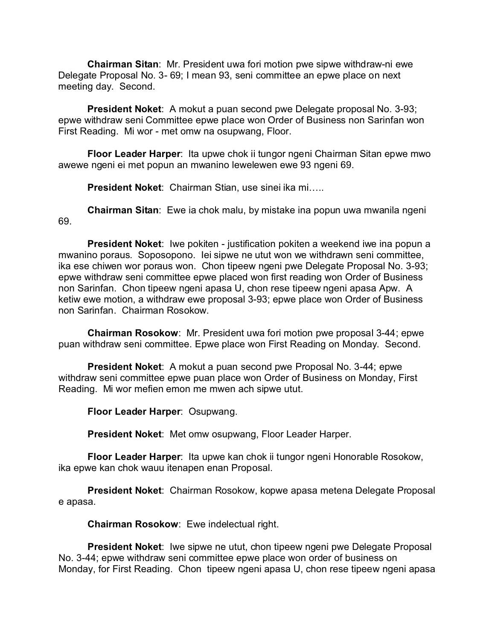**Chairman Sitan**: Mr. President uwa fori motion pwe sipwe withdraw-ni ewe Delegate Proposal No. 3- 69; I mean 93, seni committee an epwe place on next meeting day. Second.

**President Noket**: A mokut a puan second pwe Delegate proposal No. 3-93; epwe withdraw seni Committee epwe place won Order of Business non Sarinfan won First Reading. Mi wor - met omw na osupwang, Floor.

**Floor Leader Harper**: Ita upwe chok ii tungor ngeni Chairman Sitan epwe mwo awewe ngeni ei met popun an mwanino lewelewen ewe 93 ngeni 69.

**President Noket**: Chairman Stian, use sinei ika mi…..

**Chairman Sitan**: Ewe ia chok malu, by mistake ina popun uwa mwanila ngeni 69.

**President Noket**: Iwe pokiten - justification pokiten a weekend iwe ina popun a mwanino poraus. Soposopono. Iei sipwe ne utut won we withdrawn seni committee, ika ese chiwen wor poraus won. Chon tipeew ngeni pwe Delegate Proposal No. 3-93; epwe withdraw seni committee epwe placed won first reading won Order of Business non Sarinfan. Chon tipeew ngeni apasa U, chon rese tipeew ngeni apasa Apw. A ketiw ewe motion, a withdraw ewe proposal 3-93; epwe place won Order of Business non Sarinfan. Chairman Rosokow.

**Chairman Rosokow**: Mr. President uwa fori motion pwe proposal 3-44; epwe puan withdraw seni committee. Epwe place won First Reading on Monday. Second.

**President Noket**: A mokut a puan second pwe Proposal No. 3-44; epwe withdraw seni committee epwe puan place won Order of Business on Monday, First Reading. Mi wor mefien emon me mwen ach sipwe utut.

**Floor Leader Harper**: Osupwang.

**President Noket**: Met omw osupwang, Floor Leader Harper.

**Floor Leader Harper**: Ita upwe kan chok ii tungor ngeni Honorable Rosokow, ika epwe kan chok wauu itenapen enan Proposal.

**President Noket**: Chairman Rosokow, kopwe apasa metena Delegate Proposal e apasa.

**Chairman Rosokow**: Ewe indelectual right.

**President Noket:** Iwe sipwe ne utut, chon tipeew ngeni pwe Delegate Proposal No. 3-44; epwe withdraw seni committee epwe place won order of business on Monday, for First Reading. Chon tipeew ngeni apasa U, chon rese tipeew ngeni apasa